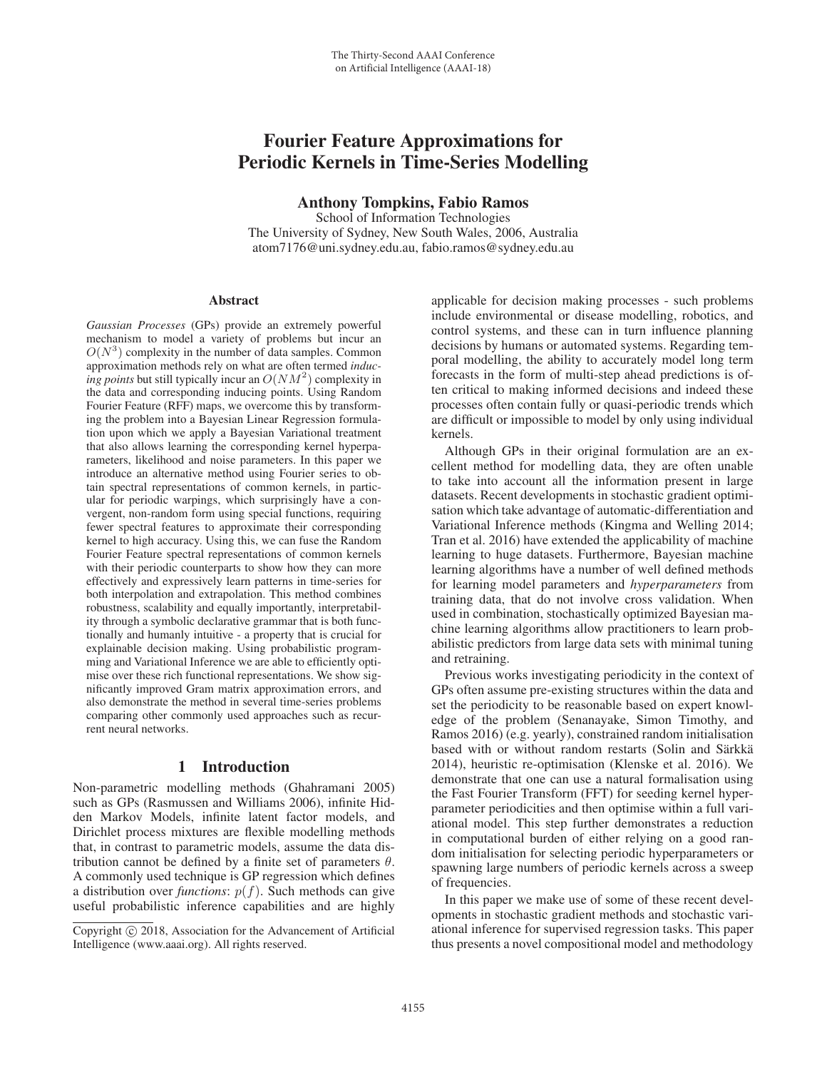# Fourier Feature Approximations for Periodic Kernels in Time-Series Modelling

Anthony Tompkins, Fabio Ramos

School of Information Technologies The University of Sydney, New South Wales, 2006, Australia atom7176@uni.sydney.edu.au, fabio.ramos@sydney.edu.au

#### **Abstract**

*Gaussian Processes* (GPs) provide an extremely powerful mechanism to model a variety of problems but incur an  $O(N^3)$  complexity in the number of data samples. Common approximation methods rely on what are often termed *inducing points* but still typically incur an  $O(NM^2)$  complexity in the data and corresponding inducing points. Using Random Fourier Feature (RFF) maps, we overcome this by transforming the problem into a Bayesian Linear Regression formulation upon which we apply a Bayesian Variational treatment that also allows learning the corresponding kernel hyperparameters, likelihood and noise parameters. In this paper we introduce an alternative method using Fourier series to obtain spectral representations of common kernels, in particular for periodic warpings, which surprisingly have a convergent, non-random form using special functions, requiring fewer spectral features to approximate their corresponding kernel to high accuracy. Using this, we can fuse the Random Fourier Feature spectral representations of common kernels with their periodic counterparts to show how they can more effectively and expressively learn patterns in time-series for both interpolation and extrapolation. This method combines robustness, scalability and equally importantly, interpretability through a symbolic declarative grammar that is both functionally and humanly intuitive - a property that is crucial for explainable decision making. Using probabilistic programming and Variational Inference we are able to efficiently optimise over these rich functional representations. We show significantly improved Gram matrix approximation errors, and also demonstrate the method in several time-series problems comparing other commonly used approaches such as recurrent neural networks.

#### 1 Introduction

Non-parametric modelling methods (Ghahramani 2005) such as GPs (Rasmussen and Williams 2006), infinite Hidden Markov Models, infinite latent factor models, and Dirichlet process mixtures are flexible modelling methods that, in contrast to parametric models, assume the data distribution cannot be defined by a finite set of parameters  $\theta$ . A commonly used technique is GP regression which defines a distribution over *functions*:  $p(f)$ . Such methods can give useful probabilistic inference capabilities and are highly

applicable for decision making processes - such problems include environmental or disease modelling, robotics, and control systems, and these can in turn influence planning decisions by humans or automated systems. Regarding temporal modelling, the ability to accurately model long term forecasts in the form of multi-step ahead predictions is often critical to making informed decisions and indeed these processes often contain fully or quasi-periodic trends which are difficult or impossible to model by only using individual kernels.

Although GPs in their original formulation are an excellent method for modelling data, they are often unable to take into account all the information present in large datasets. Recent developments in stochastic gradient optimisation which take advantage of automatic-differentiation and Variational Inference methods (Kingma and Welling 2014; Tran et al. 2016) have extended the applicability of machine learning to huge datasets. Furthermore, Bayesian machine learning algorithms have a number of well defined methods for learning model parameters and *hyperparameters* from training data, that do not involve cross validation. When used in combination, stochastically optimized Bayesian machine learning algorithms allow practitioners to learn probabilistic predictors from large data sets with minimal tuning and retraining.

Previous works investigating periodicity in the context of GPs often assume pre-existing structures within the data and set the periodicity to be reasonable based on expert knowledge of the problem (Senanayake, Simon Timothy, and Ramos 2016) (e.g. yearly), constrained random initialisation based with or without random restarts (Solin and Särkkä 2014), heuristic re-optimisation (Klenske et al. 2016). We demonstrate that one can use a natural formalisation using the Fast Fourier Transform (FFT) for seeding kernel hyperparameter periodicities and then optimise within a full variational model. This step further demonstrates a reduction in computational burden of either relying on a good random initialisation for selecting periodic hyperparameters or spawning large numbers of periodic kernels across a sweep of frequencies.

In this paper we make use of some of these recent developments in stochastic gradient methods and stochastic variational inference for supervised regression tasks. This paper thus presents a novel compositional model and methodology

Copyright  $\odot$  2018, Association for the Advancement of Artificial Intelligence (www.aaai.org). All rights reserved.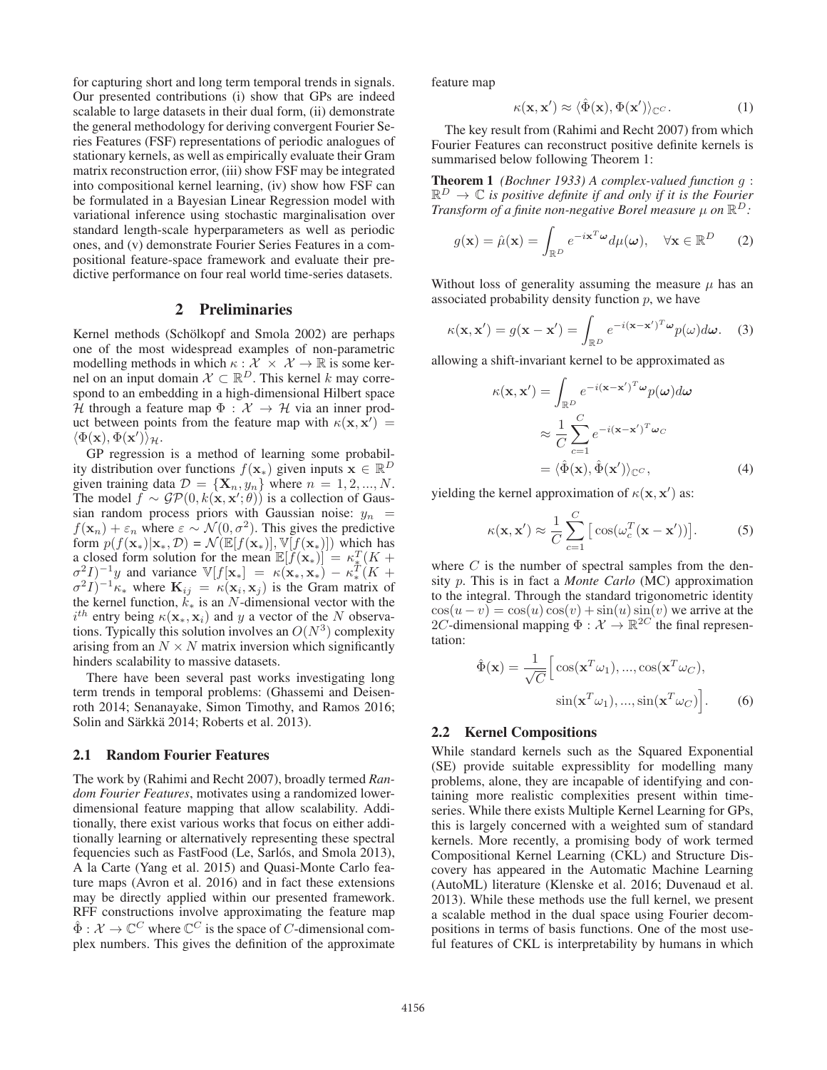for capturing short and long term temporal trends in signals. Our presented contributions (i) show that GPs are indeed scalable to large datasets in their dual form, (ii) demonstrate the general methodology for deriving convergent Fourier Series Features (FSF) representations of periodic analogues of stationary kernels, as well as empirically evaluate their Gram matrix reconstruction error, (iii) show FSF may be integrated into compositional kernel learning, (iv) show how FSF can be formulated in a Bayesian Linear Regression model with variational inference using stochastic marginalisation over standard length-scale hyperparameters as well as periodic ones, and (v) demonstrate Fourier Series Features in a compositional feature-space framework and evaluate their predictive performance on four real world time-series datasets.

#### 2 Preliminaries

Kernel methods (Schölkopf and Smola 2002) are perhaps one of the most widespread examples of non-parametric modelling methods in which  $\kappa : \mathcal{X} \times \mathcal{X} \to \mathbb{R}$  is some kernel on an input domain  $\mathcal{X} \subset \mathbb{R}^D$ . This kernel k may correspond to an embedding in a high-dimensional Hilbert space  $H$  through a feature map  $\Phi : \mathcal{X} \to \mathcal{H}$  via an inner product between points from the feature map with  $\kappa(\mathbf{x}, \mathbf{x}') =$ <br>  $\langle \Phi(\mathbf{x}) \Phi(\mathbf{x}') \rangle_{\mathcal{U}}$  $\langle \Phi(\mathbf{x}), \Phi(\mathbf{x}') \rangle_{\mathcal{H}}.$  GP regression

GP regression is a method of learning some probability distribution over functions  $f(\mathbf{x}_*)$  given inputs  $\mathbf{x} \in \mathbb{R}^D$ given training data  $\mathcal{D} = {\mathbf{X}_n, y_n}$  where  $n = 1, 2, ..., N$ .<br>The model  $f \sim \mathcal{GP}(0, k(\mathbf{x}, \mathbf{x}', \theta))$  is a collection of Gaus-The model  $f \sim GP(0, k(\mathbf{x}, \mathbf{x}'; \theta))$  is a collection of Gaus-<br>sian random process priors with Gaussian poise:  $u_{\theta} =$ sian random process priors with Gaussian noise:  $y_n$  =  $f(\mathbf{x}_n) + \varepsilon_n$  where  $\varepsilon \sim \mathcal{N}(0, \sigma^2)$ . This gives the predictive form  $p(f(\mathbf{x}_{*})|\mathbf{x}_{*}, \mathcal{D}) = \mathcal{N}(\mathbb{E}[f(\mathbf{x}_{*})], \mathbb{V}[f(\mathbf{x}_{*})])$  which has a closed form solution for the mean  $\mathbb{E}[f(\mathbf{x}_*)] = \kappa_x^T (K + \sigma^2 I)^{-1} u$  and variance  $\mathbb{V}[f(\mathbf{x}_+)] = \kappa(\mathbf{x}_+ \cdot \mathbf{x}_+) - \kappa_t^T (K + \sigma^2 I)^{-1} u$  $\sigma^2 I$ )<sup>-1</sup>y and variance  $V[f(\mathbf{x}_*)] = \kappa(\mathbf{x}_*, \mathbf{x}_*) - \kappa^T$  ( $K + \sigma^2 I$ )<sup>-1</sup> $\kappa$ , where  $\mathbf{K}_{ii} = \kappa(\mathbf{x}_i, \mathbf{x}_i)$  is the Gram matrix of  $\sigma^2 I$ )<sup>-1</sup> $\kappa_*$  where  $\mathbf{K}_{ij} = \kappa(\mathbf{x}_i, \mathbf{x}_j)$  is the Gram matrix of the kernel function,  $k_{\ast}$  is an N-dimensional vector with the  $i^{th}$  entry being  $\kappa(\mathbf{x}_*, \mathbf{x}_i)$  and y a vector of the N observa-<br>tions. Typically this solution involves an  $O(N^3)$  complexity tions. Typically this solution involves an  $O(N^3)$  complexity arising from an  $N \times N$  matrix inversion which significantly hinders scalability to massive datasets.

There have been several past works investigating long term trends in temporal problems: (Ghassemi and Deisenroth 2014; Senanayake, Simon Timothy, and Ramos 2016; Solin and Särkkä 2014; Roberts et al. 2013).

#### 2.1 Random Fourier Features

The work by (Rahimi and Recht 2007), broadly termed *Random Fourier Features*, motivates using a randomized lowerdimensional feature mapping that allow scalability. Additionally, there exist various works that focus on either additionally learning or alternatively representing these spectral fequencies such as FastFood (Le, Sarlós, and Smola 2013), A la Carte (Yang et al. 2015) and Quasi-Monte Carlo feature maps (Avron et al. 2016) and in fact these extensions may be directly applied within our presented framework. RFF constructions involve approximating the feature map  $\hat{\Phi}: \mathcal{X} \to \mathbb{C}^C$  where  $\mathbb{C}^C$  is the space of C-dimensional complex numbers. This gives the definition of the approximate feature map

$$
\kappa(\mathbf{x}, \mathbf{x}') \approx \langle \hat{\Phi}(\mathbf{x}), \Phi(\mathbf{x}') \rangle_{\mathbb{C}^C}.
$$
 (1)

The key result from (Rahimi and Recht 2007) from which Fourier Features can reconstruct positive definite kernels is summarised below following Theorem 1:

Theorem 1 *(Bochner 1933) A complex-valued function* <sup>g</sup> :  $\mathbb{R}^D \to \mathbb{C}$  *is positive definite if and only if it is the Fourier Transform of a finite non-negative Borel measure* μ *on* R<sup>D</sup>*:*

$$
g(\mathbf{x}) = \hat{\mu}(\mathbf{x}) = \int_{\mathbb{R}^D} e^{-i\mathbf{x}^T \boldsymbol{\omega}} d\mu(\boldsymbol{\omega}), \quad \forall \mathbf{x} \in \mathbb{R}^D \qquad (2)
$$

Without loss of generality assuming the measure  $\mu$  has an associated probability density function  $p$ , we have

$$
\kappa(\mathbf{x}, \mathbf{x}') = g(\mathbf{x} - \mathbf{x}') = \int_{\mathbb{R}^D} e^{-i(\mathbf{x} - \mathbf{x}')^T \boldsymbol{\omega}} p(\omega) d\boldsymbol{\omega}.
$$
 (3)

allowing a shift-invariant kernel to be approximated as

$$
\kappa(\mathbf{x}, \mathbf{x}') = \int_{\mathbb{R}^D} e^{-i(\mathbf{x} - \mathbf{x}')^T \omega} p(\omega) d\omega
$$

$$
\approx \frac{1}{C} \sum_{c=1}^C e^{-i(\mathbf{x} - \mathbf{x}')^T \omega_c}
$$

$$
= \langle \hat{\Phi}(\mathbf{x}), \hat{\Phi}(\mathbf{x}') \rangle_{\mathbb{C}^C}, \tag{4}
$$

yielding the kernel approximation of  $\kappa(\mathbf{x}, \mathbf{x}')$  as:

$$
\kappa(\mathbf{x}, \mathbf{x}') \approx \frac{1}{C} \sum_{c=1}^{C} \left[ \cos(\omega_c^T(\mathbf{x} - \mathbf{x}')) \right]. \tag{5}
$$

where  $C$  is the number of spectral samples from the density p. This is in fact a *Monte Carlo* (MC) approximation to the integral. Through the standard trigonometric identity  $\cos(u - v) = \cos(u)\cos(v) + \sin(u)\sin(v)$  we arrive at the 2C-dimensional mapping  $\Phi : \mathcal{X} \to \mathbb{R}^{2C}$  the final representation:

$$
\hat{\Phi}(\mathbf{x}) = \frac{1}{\sqrt{C}} \Big[ \cos(\mathbf{x}^T \omega_1), \dots, \cos(\mathbf{x}^T \omega_C),
$$

$$
\sin(\mathbf{x}^T \omega_1), \dots, \sin(\mathbf{x}^T \omega_C) \Big].
$$
 (6)

#### 2.2 Kernel Compositions

While standard kernels such as the Squared Exponential (SE) provide suitable expressiblity for modelling many problems, alone, they are incapable of identifying and containing more realistic complexities present within timeseries. While there exists Multiple Kernel Learning for GPs, this is largely concerned with a weighted sum of standard kernels. More recently, a promising body of work termed Compositional Kernel Learning (CKL) and Structure Discovery has appeared in the Automatic Machine Learning (AutoML) literature (Klenske et al. 2016; Duvenaud et al. 2013). While these methods use the full kernel, we present a scalable method in the dual space using Fourier decompositions in terms of basis functions. One of the most useful features of CKL is interpretability by humans in which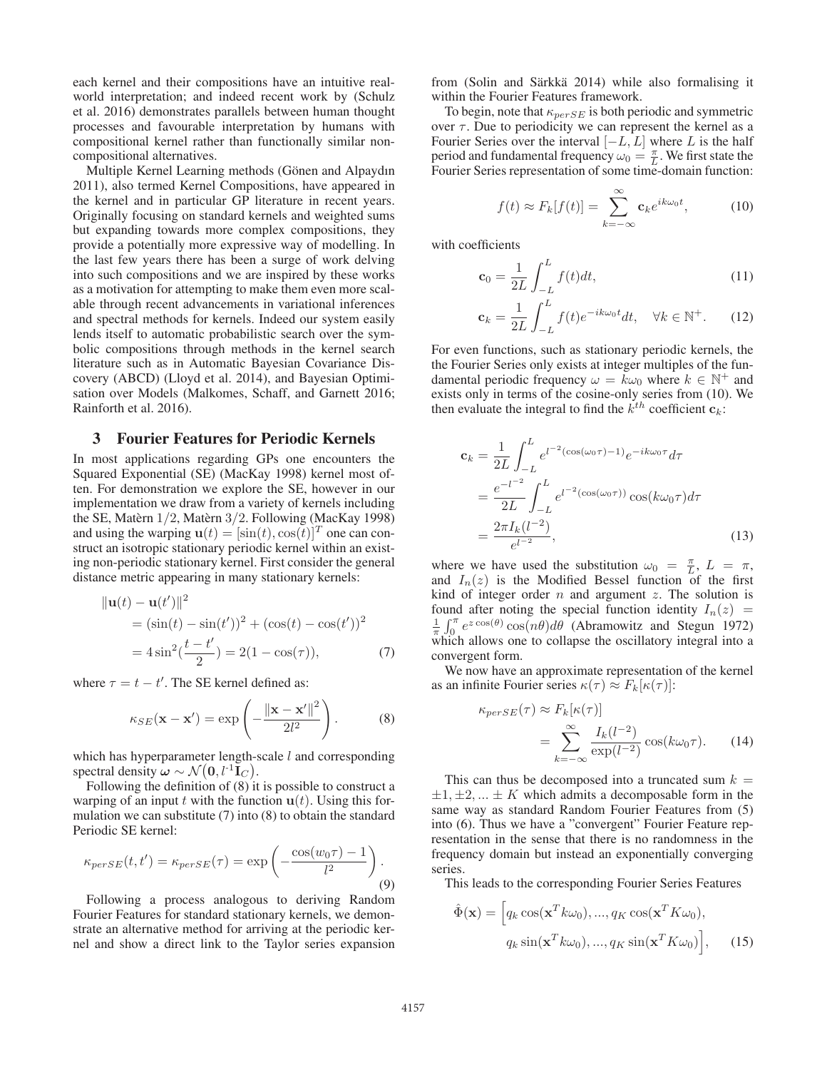each kernel and their compositions have an intuitive realworld interpretation; and indeed recent work by (Schulz et al. 2016) demonstrates parallels between human thought processes and favourable interpretation by humans with compositional kernel rather than functionally similar noncompositional alternatives.

Multiple Kernel Learning methods (Gönen and Alpaydın 2011), also termed Kernel Compositions, have appeared in the kernel and in particular GP literature in recent years. Originally focusing on standard kernels and weighted sums but expanding towards more complex compositions, they provide a potentially more expressive way of modelling. In the last few years there has been a surge of work delving into such compositions and we are inspired by these works as a motivation for attempting to make them even more scalable through recent advancements in variational inferences and spectral methods for kernels. Indeed our system easily lends itself to automatic probabilistic search over the symbolic compositions through methods in the kernel search literature such as in Automatic Bayesian Covariance Discovery (ABCD) (Lloyd et al. 2014), and Bayesian Optimisation over Models (Malkomes, Schaff, and Garnett 2016; Rainforth et al. 2016).

#### 3 Fourier Features for Periodic Kernels

In most applications regarding GPs one encounters the Squared Exponential (SE) (MacKay 1998) kernel most often. For demonstration we explore the SE, however in our implementation we draw from a variety of kernels including the SE, Matèrn  $1/2$ , Matèrn  $3/2$ . Following (MacKay 1998) and using the warping  $\mathbf{u}(t) = [\sin(t), \cos(t)]^T$  one can construct an isotropic stationary periodic kernel within an existing non-periodic stationary kernel. First consider the general distance metric appearing in many stationary kernels:

$$
\|\mathbf{u}(t) - \mathbf{u}(t')\|^2
$$
  
=  $(\sin(t) - \sin(t'))^2 + (\cos(t) - \cos(t'))^2$   
=  $4\sin^2(\frac{t - t'}{2}) = 2(1 - \cos(\tau)),$  (7)

where  $\tau = t - t'$ . The SE kernel defined as:

$$
\kappa_{SE}(\mathbf{x} - \mathbf{x}') = \exp\left(-\frac{\|\mathbf{x} - \mathbf{x}'\|^2}{2l^2}\right).
$$
 (8)

which has hyperparameter length-scale  $l$  and corresponding spectral density  $\omega \sim \mathcal{N}(\mathbf{0}, l^{-1} \mathbf{I}_C)$ .

Following the definition of (8) it is possible to construct a warping of an input t with the function  $\mathbf{u}(t)$ . Using this formulation we can substitute (7) into (8) to obtain the standard Periodic SE kernel:

$$
\kappa_{perSE}(t, t') = \kappa_{perSE}(\tau) = \exp\left(-\frac{\cos(w_0 \tau) - 1}{l^2}\right).
$$
\n(9)

Following a process analogous to deriving Random Fourier Features for standard stationary kernels, we demonstrate an alternative method for arriving at the periodic kernel and show a direct link to the Taylor series expansion from (Solin and Särkkä 2014) while also formalising it within the Fourier Features framework.

To begin, note that  $\kappa_{persE}$  is both periodic and symmetric over  $\tau$ . Due to periodicity we can represent the kernel as a Fourier Series over the interval  $[-L, L]$  where L is the half period and fundamental frequency  $\omega_0 = \frac{\pi}{L}$ . We first state the Fourier Series representation of some time-domain function Fourier Series representation of some time-domain function:

$$
f(t) \approx F_k[f(t)] = \sum_{k=-\infty}^{\infty} \mathbf{c}_k e^{ik\omega_0 t}, \quad (10)
$$

with coefficients

$$
\mathbf{c}_0 = \frac{1}{2L} \int_{-L}^{L} f(t)dt,
$$
\n(11)

$$
\mathbf{c}_k = \frac{1}{2L} \int_{-L}^{L} f(t) e^{-ik\omega_0 t} dt, \quad \forall k \in \mathbb{N}^+. \tag{12}
$$

For even functions, such as stationary periodic kernels, the the Fourier Series only exists at integer multiples of the fundamental periodic frequency  $\omega = k\omega_0$  where  $k \in \mathbb{N}^+$  and exists only in terms of the cosine-only series from (10). We then evaluate the integral to find the  $\vec{k}^{th}$  coefficient  $\vec{c}_k$ :

$$
\mathbf{c}_{k} = \frac{1}{2L} \int_{-L}^{L} e^{l^{-2}(\cos(\omega_{0}\tau) - 1)} e^{-ik\omega_{0}\tau} d\tau
$$

$$
= \frac{e^{-l^{-2}}}{2L} \int_{-L}^{L} e^{l^{-2}(\cos(\omega_{0}\tau))} \cos(k\omega_{0}\tau) d\tau
$$

$$
= \frac{2\pi I_{k}(l^{-2})}{e^{l^{-2}}}, \qquad (13)
$$

where we have used the substitution  $\omega_0 = \frac{\pi}{L}$ ,  $L = \pi$ , and  $L(z)$  is the Modified Bessel function of the first and  $I_n(z)$  is the Modified Bessel function of the first kind of integer order  $n$  and argument  $z$ . The solution is found after noting the special function identity  $I_n(z)$  =  $\frac{1}{\pi} \int_0^{\pi} e^{z \cos(\theta)} \cos(n\theta) d\theta$  (Abramowitz and Stegun 1972)<br>which allows one to collapse the oscillatory integral into a convergent form.

We now have an approximate representation of the kernel as an infinite Fourier series  $\kappa(\tau) \approx F_k[\kappa(\tau)]$ :

$$
\kappa_{persE}(\tau) \approx F_k[\kappa(\tau)]
$$
  
= 
$$
\sum_{k=-\infty}^{\infty} \frac{I_k(l^{-2})}{\exp(l^{-2})} \cos(k\omega_0 \tau).
$$
 (14)

This can thus be decomposed into a truncated sum  $k =$  $\pm 1, \pm 2, \ldots \pm K$  which admits a decomposable form in the same way as standard Random Fourier Features from (5) into (6). Thus we have a "convergent" Fourier Feature representation in the sense that there is no randomness in the frequency domain but instead an exponentially converging series.

This leads to the corresponding Fourier Series Features

$$
\hat{\Phi}(\mathbf{x}) = \left[ q_k \cos(\mathbf{x}^T k \omega_0), ..., q_K \cos(\mathbf{x}^T K \omega_0), \right. \n q_k \sin(\mathbf{x}^T k \omega_0), ..., q_K \sin(\mathbf{x}^T K \omega_0) \right], \quad (15)
$$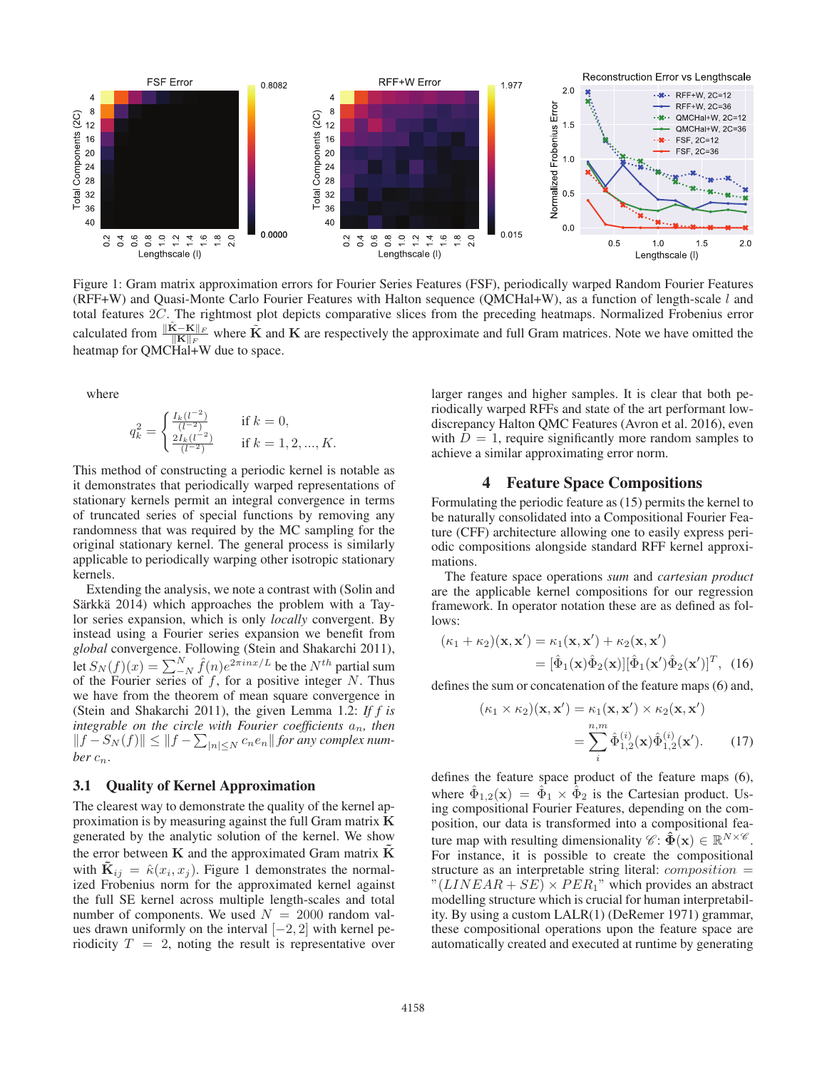

Figure 1: Gram matrix approximation errors for Fourier Series Features (FSF), periodically warped Random Fourier Features (RFF+W) and Quasi-Monte Carlo Fourier Features with Halton sequence (QMCHal+W), as a function of length-scale l and total features 2C. The rightmost plot depicts comparative slices from the preceding heatmaps. Normalized Frobenius error calculated from  $\frac{\|\tilde{\mathbf{K}} - \mathbf{K}\|_F}{\|\mathbf{K}\|_F}$  where  $\tilde{\mathbf{K}}$  and  $\mathbf{K}$  are respectively the approximate and full Gram matrices. Note we have omitted the heatmap for QMCHal+W due to space.

where

$$
q_k^2 = \begin{cases} \frac{I_k(l^{-2})}{(l^{-2})} & \text{if } k = 0, \\ \frac{2I_k(l^{-2})}{(l^{-2})} & \text{if } k = 1, 2, ..., K. \end{cases}
$$

This method of constructing a periodic kernel is notable as it demonstrates that periodically warped representations of stationary kernels permit an integral convergence in terms of truncated series of special functions by removing any randomness that was required by the MC sampling for the original stationary kernel. The general process is similarly applicable to periodically warping other isotropic stationary kernels.

Extending the analysis, we note a contrast with (Solin and Särkkä 2014) which approaches the problem with a Taylor series expansion, which is only *locally* convergent. By instead using a Fourier series expansion we benefit from *global* convergence. Following (Stein and Shakarchi 2011), let  $S_N(f)(x) = \sum_{N=1}^{N} \hat{f}(n)e^{2\pi inx/L}$  be the  $N^{th}$  partial sum of the Fourier series of f for a positive integer N. Thus of the Fourier series of  $f$ , for a positive integer N. Thus we have from the theorem of mean square convergence in (Stein and Shakarchi 2011), the given Lemma 1.2: *If f is integrable on the circle with Fourier coefficients*  $a_n$ *, then*  $||f - S_N(f)|| \le ||f - \sum_{|n| \le N} c_n e_n ||$  for any complex num*ber*  $c_n$ *.* 

## 3.1 Quality of Kernel Approximation

The clearest way to demonstrate the quality of the kernel approximation is by measuring against the full Gram matrix **K** generated by the analytic solution of the kernel. We show the error between  $K$  and the approximated Gram matrix  $\tilde{K}$ with  $\mathbf{K}_{ij} = \hat{\kappa}(x_i, x_j)$ . Figure 1 demonstrates the normalized Frobenius norm for the approximated kernel against the full SE kernel across multiple length-scales and total number of components. We used  $N = 2000$  random values drawn uniformly on the interval [−2, 2] with kernel periodicity  $T = 2$ , noting the result is representative over larger ranges and higher samples. It is clear that both periodically warped RFFs and state of the art performant lowdiscrepancy Halton QMC Features (Avron et al. 2016), even with  $D = 1$ , require significantly more random samples to achieve a similar approximating error norm.

#### 4 Feature Space Compositions

Formulating the periodic feature as (15) permits the kernel to be naturally consolidated into a Compositional Fourier Feature (CFF) architecture allowing one to easily express periodic compositions alongside standard RFF kernel approximations.

The feature space operations *sum* and *cartesian product* are the applicable kernel compositions for our regression framework. In operator notation these are as defined as follows:

$$
(\kappa_1 + \kappa_2)(\mathbf{x}, \mathbf{x}') = \kappa_1(\mathbf{x}, \mathbf{x}') + \kappa_2(\mathbf{x}, \mathbf{x}')
$$
  
=  $[\hat{\Phi}_1(\mathbf{x})\hat{\Phi}_2(\mathbf{x})][\hat{\Phi}_1(\mathbf{x}')\hat{\Phi}_2(\mathbf{x}')]^T$ , (16)

defines the sum or concatenation of the feature maps (6) and,

$$
(\kappa_1 \times \kappa_2)(\mathbf{x}, \mathbf{x}') = \kappa_1(\mathbf{x}, \mathbf{x}') \times \kappa_2(\mathbf{x}, \mathbf{x}')
$$

$$
= \sum_{i}^{n,m} \hat{\Phi}_{1,2}^{(i)}(\mathbf{x}) \hat{\Phi}_{1,2}^{(i)}(\mathbf{x}'). \tag{17}
$$

defines the feature space product of the feature maps (6), where  $\hat{\Phi}_{1,2}(\mathbf{x}) = \hat{\Phi}_1 \times \hat{\Phi}_2$  is the Cartesian product. Using compositional Fourier Features, depending on the composition, our data is transformed into a compositional feature map with resulting dimensionality  $\mathscr{C} \colon \mathbf{\hat{\Phi}}(\mathbf{x}) \in \mathbb{R}^{N \times \mathscr{C}}$ . For instance, it is possible to create the compositional structure as an interpretable string literal:  $composition =$ " $(LINEAR + SE) \times PER_1$ " which provides an abstract modelling structure which is crucial for human interpretability. By using a custom LALR(1) (DeRemer 1971) grammar, these compositional operations upon the feature space are automatically created and executed at runtime by generating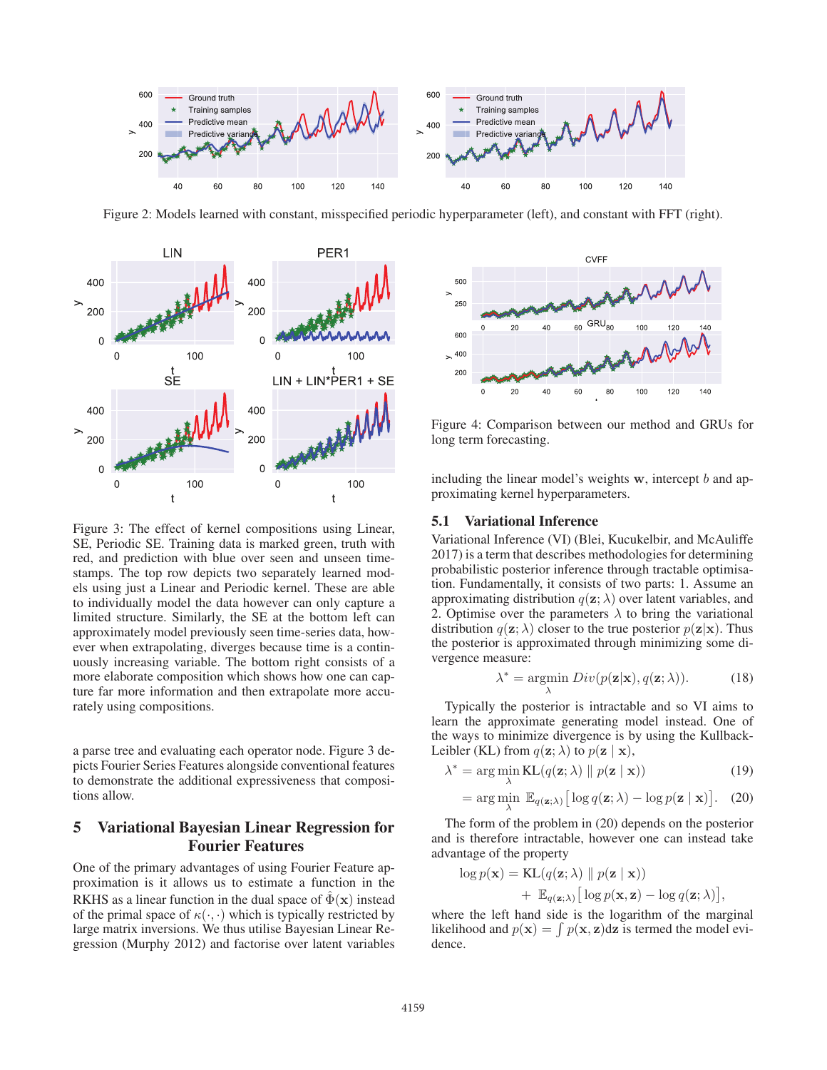

Figure 2: Models learned with constant, misspecified periodic hyperparameter (left), and constant with FFT (right).



Figure 3: The effect of kernel compositions using Linear, SE, Periodic SE. Training data is marked green, truth with red, and prediction with blue over seen and unseen timestamps. The top row depicts two separately learned models using just a Linear and Periodic kernel. These are able to individually model the data however can only capture a limited structure. Similarly, the SE at the bottom left can approximately model previously seen time-series data, however when extrapolating, diverges because time is a continuously increasing variable. The bottom right consists of a more elaborate composition which shows how one can capture far more information and then extrapolate more accurately using compositions.

a parse tree and evaluating each operator node. Figure 3 depicts Fourier Series Features alongside conventional features to demonstrate the additional expressiveness that compositions allow.

## 5 Variational Bayesian Linear Regression for Fourier Features

One of the primary advantages of using Fourier Feature approximation is it allows us to estimate a function in the RKHS as a linear function in the dual space of  $\hat{\Phi}(\mathbf{x})$  instead of the primal space of  $\kappa(\cdot, \cdot)$  which is typically restricted by large matrix inversions. We thus utilise Bayesian Linear Regression (Murphy 2012) and factorise over latent variables



Figure 4: Comparison between our method and GRUs for long term forecasting.

including the linear model's weights **w**, intercept b and approximating kernel hyperparameters.

## 5.1 Variational Inference

Variational Inference (VI) (Blei, Kucukelbir, and McAuliffe 2017) is a term that describes methodologies for determining probabilistic posterior inference through tractable optimisation. Fundamentally, it consists of two parts: 1. Assume an approximating distribution  $q(\mathbf{z}; \lambda)$  over latent variables, and 2. Optimise over the parameters  $\lambda$  to bring the variational distribution  $q(\mathbf{z}; \lambda)$  closer to the true posterior  $p(\mathbf{z}|\mathbf{x})$ . Thus the posterior is approximated through minimizing some divergence measure:

$$
\lambda^* = \underset{\lambda}{\text{argmin}} \ Div(p(\mathbf{z}|\mathbf{x}), q(\mathbf{z}; \lambda)). \tag{18}
$$

Typically the posterior is intractable and so VI aims to learn the approximate generating model instead. One of the ways to minimize divergence is by using the Kullback-Leibler (KL) from  $q(\mathbf{z}; \lambda)$  to  $p(\mathbf{z} | \mathbf{x})$ ,

$$
\lambda^* = \arg\min_{\lambda} \text{KL}(q(\mathbf{z}; \lambda) \parallel p(\mathbf{z} \mid \mathbf{x}))
$$
 (19)

$$
= \arg\min_{\lambda} \mathbb{E}_{q(\mathbf{z};\lambda)} \big[ \log q(\mathbf{z};\lambda) - \log p(\mathbf{z} \mid \mathbf{x}) \big]. \quad (20)
$$

The form of the problem in (20) depends on the posterior and is therefore intractable, however one can instead take advantage of the property

$$
\log p(\mathbf{x}) = \text{KL}(q(\mathbf{z}; \lambda) \parallel p(\mathbf{z} \mid \mathbf{x})) + \mathbb{E}_{q(\mathbf{z}; \lambda)} [\log p(\mathbf{x}, \mathbf{z}) - \log q(\mathbf{z}; \lambda)],
$$
  
where the left hand side is the logarithm of the marginal

likelihood and  $p(\mathbf{x}) = \int p(\mathbf{x}, \mathbf{z}) d\mathbf{z}$  is termed the model evidence.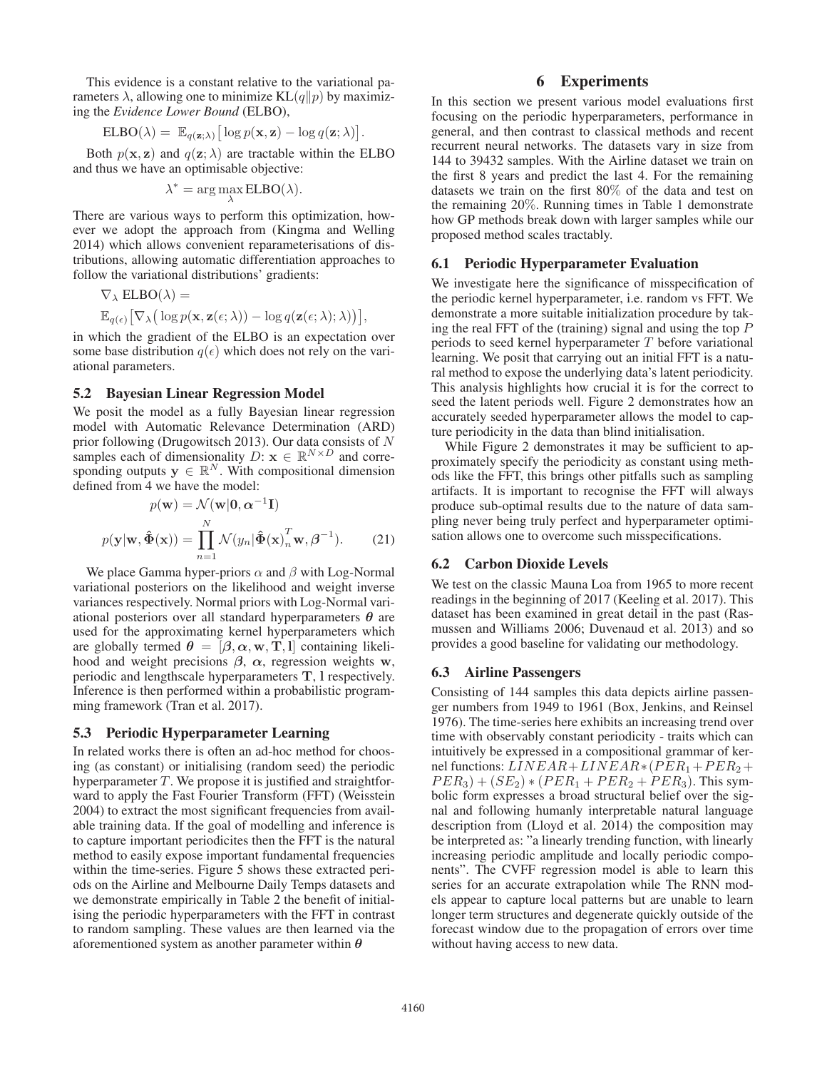This evidence is a constant relative to the variational parameters  $\lambda$ , allowing one to minimize KL $(q||p)$  by maximizing the *Evidence Lower Bound* (ELBO),

$$
ELBO(\lambda) = \mathbb{E}_{q(\mathbf{z};\lambda)} [\log p(\mathbf{x}, \mathbf{z}) - \log q(\mathbf{z};\lambda)].
$$

Both  $p(x, z)$  and  $q(z; \lambda)$  are tractable within the ELBO d thus we have an optimisable objective: and thus we have an optimisable objective:

$$
\lambda^* = \arg\max_{\lambda} ELBO(\lambda).
$$

There are various ways to perform this optimization, however we adopt the approach from (Kingma and Welling 2014) which allows convenient reparameterisations of distributions, allowing automatic differentiation approaches to follow the variational distributions' gradients:

$$
\nabla_{\lambda} \text{ ELBO}(\lambda) =
$$
  

$$
\mathbb{E}_{q(\epsilon)} [\nabla_{\lambda} (\log p(\mathbf{x}, \mathbf{z}(\epsilon; \lambda)) - \log q(\mathbf{z}(\epsilon; \lambda); \lambda))],
$$

 $\mathbb{E}_{q(\epsilon)} [\nabla_{\lambda} (\log p(\mathbf{x}, \mathbf{z}(\epsilon; \lambda)) - \log q(\mathbf{z}(\epsilon; \lambda); \lambda))],$ <br>in which the gradient of the ELBO is an expectation over some base distribution  $q(\epsilon)$  which does not rely on the vari-<br>ational parameters ational parameters.

#### 5.2 Bayesian Linear Regression Model

We posit the model as a fully Bayesian linear regression model with Automatic Relevance Determination (ARD) prior following (Drugowitsch 2013). Our data consists of N samples each of dimensionality  $D: \mathbf{x} \in \mathbb{R}^{N \times D}$  and corresponding outputs  $y \in \mathbb{R}^N$ . With compositional dimension defined from 4 we have the model:

$$
p(\mathbf{w}) = \mathcal{N}(\mathbf{w}|\mathbf{0}, \alpha^{-1}\mathbf{I})
$$

$$
p(\mathbf{y}|\mathbf{w}, \hat{\mathbf{\Phi}}(\mathbf{x})) = \prod_{n=1}^{N} \mathcal{N}(y_n | \hat{\mathbf{\Phi}}(\mathbf{x})_n^T \mathbf{w}, \beta^{-1}).
$$
(21)

We place Gamma hyper-priors  $\alpha$  and  $\beta$  with Log-Normal variational posteriors on the likelihood and weight inverse variances respectively. Normal priors with Log-Normal variational posteriors over all standard hyperparameters *θ* are used for the approximating kernel hyperparameters which are globally termed  $\theta = [\beta, \alpha, \mathbf{w}, \mathbf{T}, \mathbf{l}]$  containing likelihood and weight precisions *β*, *α*, regression weights **w**, periodic and lengthscale hyperparameters **T**, **l** respectively. Inference is then performed within a probabilistic programming framework (Tran et al. 2017).

#### 5.3 Periodic Hyperparameter Learning

In related works there is often an ad-hoc method for choosing (as constant) or initialising (random seed) the periodic hyperparameter  $T$ . We propose it is justified and straightforward to apply the Fast Fourier Transform (FFT) (Weisstein 2004) to extract the most significant frequencies from available training data. If the goal of modelling and inference is to capture important periodicites then the FFT is the natural method to easily expose important fundamental frequencies within the time-series. Figure 5 shows these extracted periods on the Airline and Melbourne Daily Temps datasets and we demonstrate empirically in Table 2 the benefit of initialising the periodic hyperparameters with the FFT in contrast to random sampling. These values are then learned via the aforementioned system as another parameter within *θ*

# 6 Experiments

In this section we present various model evaluations first focusing on the periodic hyperparameters, performance in general, and then contrast to classical methods and recent recurrent neural networks. The datasets vary in size from 144 to 39432 samples. With the Airline dataset we train on the first 8 years and predict the last 4. For the remaining datasets we train on the first 80% of the data and test on the remaining 20%. Running times in Table 1 demonstrate how GP methods break down with larger samples while our proposed method scales tractably.

#### 6.1 Periodic Hyperparameter Evaluation

We investigate here the significance of misspecification of the periodic kernel hyperparameter, i.e. random vs FFT. We demonstrate a more suitable initialization procedure by taking the real FFT of the (training) signal and using the top  $P$ periods to seed kernel hyperparameter  $T$  before variational learning. We posit that carrying out an initial FFT is a natural method to expose the underlying data's latent periodicity. This analysis highlights how crucial it is for the correct to seed the latent periods well. Figure 2 demonstrates how an accurately seeded hyperparameter allows the model to capture periodicity in the data than blind initialisation.

While Figure 2 demonstrates it may be sufficient to approximately specify the periodicity as constant using methods like the FFT, this brings other pitfalls such as sampling artifacts. It is important to recognise the FFT will always produce sub-optimal results due to the nature of data sampling never being truly perfect and hyperparameter optimisation allows one to overcome such misspecifications.

## 6.2 Carbon Dioxide Levels

We test on the classic Mauna Loa from 1965 to more recent readings in the beginning of 2017 (Keeling et al. 2017). This dataset has been examined in great detail in the past (Rasmussen and Williams 2006; Duvenaud et al. 2013) and so provides a good baseline for validating our methodology.

#### 6.3 Airline Passengers

Consisting of 144 samples this data depicts airline passenger numbers from 1949 to 1961 (Box, Jenkins, and Reinsel 1976). The time-series here exhibits an increasing trend over time with observably constant periodicity - traits which can intuitively be expressed in a compositional grammar of kernel functions:  $LINEAR + LINEAR * (PER_1 + PER_2 +$  $PER_3) + (SE_2) * (PER_1 + PER_2 + PER_3)$ . This symbolic form expresses a broad structural belief over the signal and following humanly interpretable natural language description from (Lloyd et al. 2014) the composition may be interpreted as: "a linearly trending function, with linearly increasing periodic amplitude and locally periodic components". The CVFF regression model is able to learn this series for an accurate extrapolation while The RNN models appear to capture local patterns but are unable to learn longer term structures and degenerate quickly outside of the forecast window due to the propagation of errors over time without having access to new data.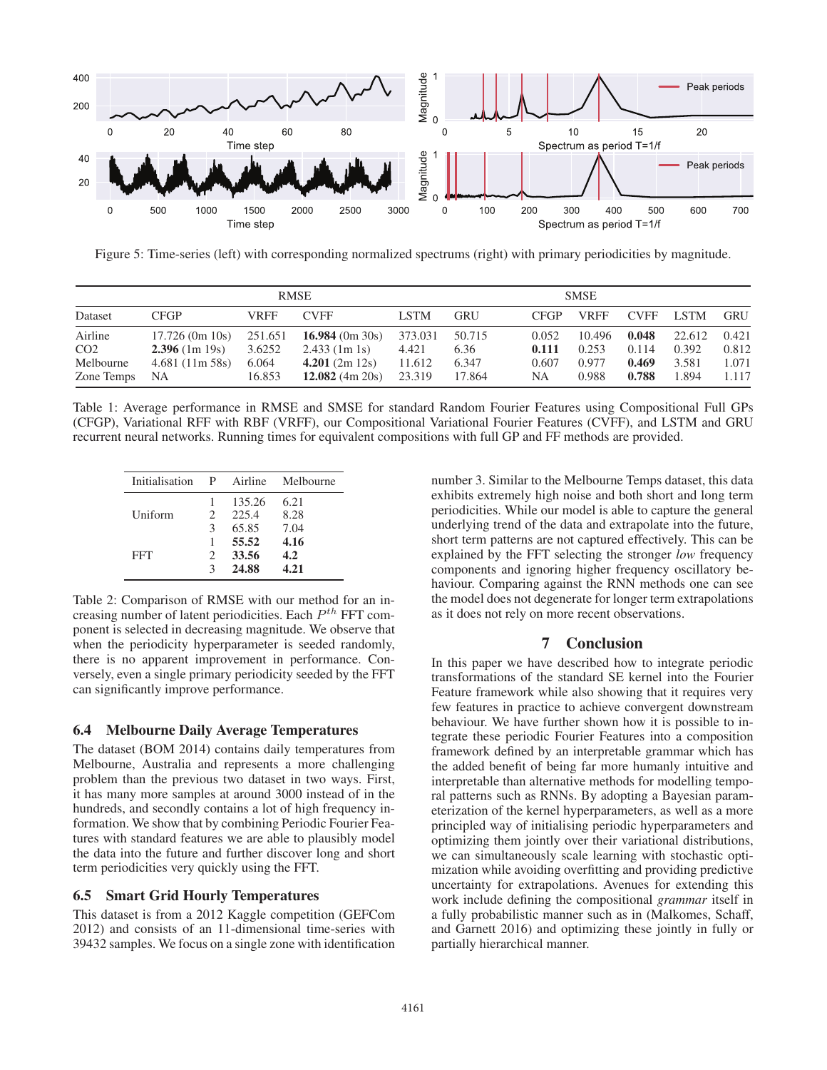

Figure 5: Time-series (left) with corresponding normalized spectrums (right) with primary periodicities by magnitude.

|                                                       | <b>RMSE</b>                                                       |                                      |                                                                            |                                      | SMSE                              |                               |                                   |                                  |                                   |                                  |
|-------------------------------------------------------|-------------------------------------------------------------------|--------------------------------------|----------------------------------------------------------------------------|--------------------------------------|-----------------------------------|-------------------------------|-----------------------------------|----------------------------------|-----------------------------------|----------------------------------|
| Dataset                                               | <b>CFGP</b>                                                       | VRFF                                 | <b>CVFF</b>                                                                | <b>LSTM</b>                          | <b>GRU</b>                        | <b>CFGP</b>                   | VRFF                              | <b>CVFF</b>                      | <b>LSTM</b>                       | <b>GRU</b>                       |
| Airline<br>CO <sub>2</sub><br>Melbourne<br>Zone Temps | $17.726$ (0m 10s)<br>$2.396$ (1m 19s)<br>$4.681(11m\,58s)$<br>NA. | 251.651<br>3.6252<br>6.064<br>16.853 | $16.984$ (0m 30s)<br>$2.433$ (1m 1s)<br>4.201(2m 12s)<br>$12.082$ (4m 20s) | 373.031<br>4.421<br>11.612<br>23.319 | 50.715<br>6.36<br>6.347<br>17.864 | 0.052<br>0.111<br>0.607<br>NA | 10.496<br>0.253<br>0.977<br>0.988 | 0.048<br>0.114<br>0.469<br>0.788 | 22.612<br>0.392<br>3.581<br>1.894 | 0.421<br>0.812<br>1.071<br>1.117 |

Table 1: Average performance in RMSE and SMSE for standard Random Fourier Features using Compositional Full GPs (CFGP), Variational RFF with RBF (VRFF), our Compositional Variational Fourier Features (CVFF), and LSTM and GRU recurrent neural networks. Running times for equivalent compositions with full GP and FF methods are provided.

| Initialisation | P | Airline | Melbourne |
|----------------|---|---------|-----------|
|                |   | 135.26  | 6.21      |
| Uniform        | 2 | 225.4   | 8.28      |
|                | 3 | 65.85   | 7.04      |
|                |   | 55.52   | 4.16      |
| <b>FFT</b>     | 2 | 33.56   | 4.2       |
|                |   | 24.88   | 4.21      |

Table 2: Comparison of RMSE with our method for an increasing number of latent periodicities. Each  $P^{th}$  FFT component is selected in decreasing magnitude. We observe that when the periodicity hyperparameter is seeded randomly, there is no apparent improvement in performance. Conversely, even a single primary periodicity seeded by the FFT can significantly improve performance.

#### 6.4 Melbourne Daily Average Temperatures

The dataset (BOM 2014) contains daily temperatures from Melbourne, Australia and represents a more challenging problem than the previous two dataset in two ways. First, it has many more samples at around 3000 instead of in the hundreds, and secondly contains a lot of high frequency information. We show that by combining Periodic Fourier Features with standard features we are able to plausibly model the data into the future and further discover long and short term periodicities very quickly using the FFT.

#### 6.5 Smart Grid Hourly Temperatures

This dataset is from a 2012 Kaggle competition (GEFCom 2012) and consists of an 11-dimensional time-series with 39432 samples. We focus on a single zone with identification

number 3. Similar to the Melbourne Temps dataset, this data exhibits extremely high noise and both short and long term periodicities. While our model is able to capture the general underlying trend of the data and extrapolate into the future, short term patterns are not captured effectively. This can be explained by the FFT selecting the stronger *low* frequency components and ignoring higher frequency oscillatory behaviour. Comparing against the RNN methods one can see the model does not degenerate for longer term extrapolations as it does not rely on more recent observations.

# 7 Conclusion

In this paper we have described how to integrate periodic transformations of the standard SE kernel into the Fourier Feature framework while also showing that it requires very few features in practice to achieve convergent downstream behaviour. We have further shown how it is possible to integrate these periodic Fourier Features into a composition framework defined by an interpretable grammar which has the added benefit of being far more humanly intuitive and interpretable than alternative methods for modelling temporal patterns such as RNNs. By adopting a Bayesian parameterization of the kernel hyperparameters, as well as a more principled way of initialising periodic hyperparameters and optimizing them jointly over their variational distributions, we can simultaneously scale learning with stochastic optimization while avoiding overfitting and providing predictive uncertainty for extrapolations. Avenues for extending this work include defining the compositional *grammar* itself in a fully probabilistic manner such as in (Malkomes, Schaff, and Garnett 2016) and optimizing these jointly in fully or partially hierarchical manner.